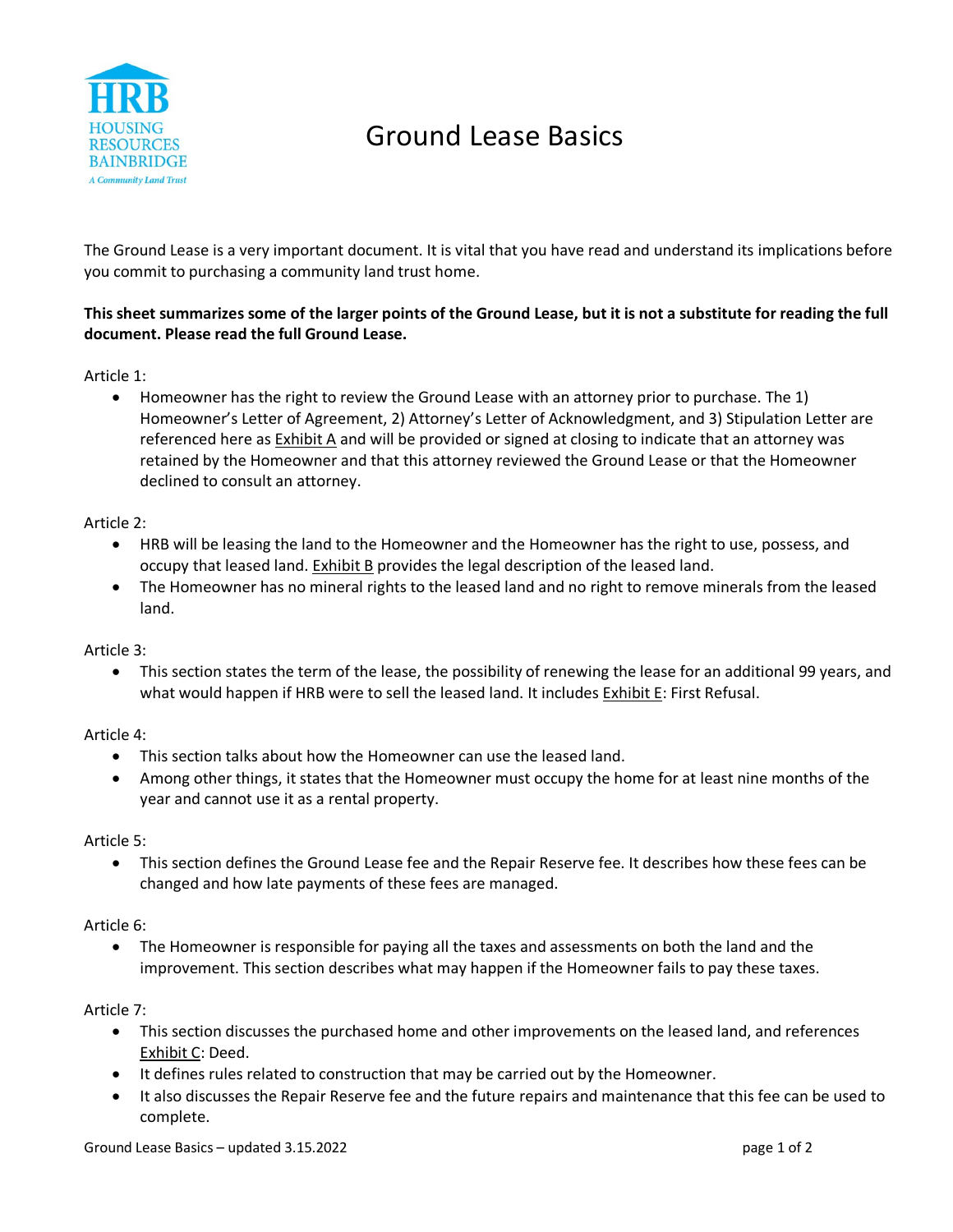

# Ground Lease Basics

The Ground Lease is a very important document. It is vital that you have read and understand its implications before you commit to purchasing a community land trust home.

## **This sheet summarizes some of the larger points of the Ground Lease, but it is not a substitute for reading the full document. Please read the full Ground Lease.**

Article 1:

• Homeowner has the right to review the Ground Lease with an attorney prior to purchase. The 1) Homeowner's Letter of Agreement, 2) Attorney's Letter of Acknowledgment, and 3) Stipulation Letter are referenced here as Exhibit A and will be provided or signed at closing to indicate that an attorney was retained by the Homeowner and that this attorney reviewed the Ground Lease or that the Homeowner declined to consult an attorney.

## Article 2:

- HRB will be leasing the land to the Homeowner and the Homeowner has the right to use, possess, and occupy that leased land. Exhibit B provides the legal description of the leased land.
- The Homeowner has no mineral rights to the leased land and no right to remove minerals from the leased land.

#### Article 3:

• This section states the term of the lease, the possibility of renewing the lease for an additional 99 years, and what would happen if HRB were to sell the leased land. It includes Exhibit E: First Refusal.

## Article 4:

- This section talks about how the Homeowner can use the leased land.
- Among other things, it states that the Homeowner must occupy the home for at least nine months of the year and cannot use it as a rental property.

#### Article 5:

• This section defines the Ground Lease fee and the Repair Reserve fee. It describes how these fees can be changed and how late payments of these fees are managed.

#### Article 6:

• The Homeowner is responsible for paying all the taxes and assessments on both the land and the improvement. This section describes what may happen if the Homeowner fails to pay these taxes.

## Article 7:

- This section discusses the purchased home and other improvements on the leased land, and references Exhibit C: Deed.
- It defines rules related to construction that may be carried out by the Homeowner.
- It also discusses the Repair Reserve fee and the future repairs and maintenance that this fee can be used to complete.